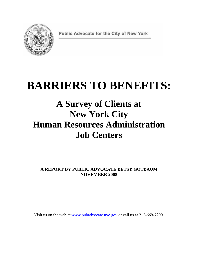Public Advocate for the City of New York

# **BARRIERS TO BENEFITS:**

## **A Survey of Clients at New York City Human Resources Administration Job Centers**

**A REPORT BY PUBLIC ADVOCATE BETSY GOTBAUM NOVEMBER 2008** 

Visit us on the web at www.pubadvocate.nyc.gov or call us at 212-669-7200.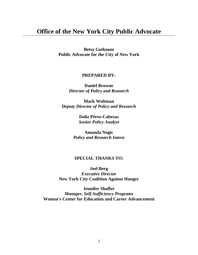### **Office of the New York City Public Advocate**

**Betsy Gotbaum Public Advocate for the City of New York** 

#### **PREPARED BY:**

**Daniel Browne**  *Director of Policy and Research* 

**Mark Woltman**  *Deputy Director of Policy and Research* 

> **Daliz Pérez-Cabezas**  *Senior Policy Analyst*

**Amanda Nogic**  *Policy and Research Intern* 

#### **SPECIAL THANKS TO:**

**Joel Berg**  *Executive Director*  **New York City Coalition Against Hunger** 

**Jennifer Shaffer**  *Manager, Self-Sufficiency Programs*  **Women's Center for Education and Career Advancement**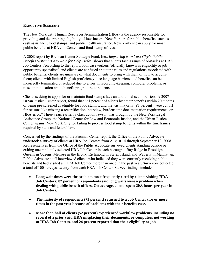#### **EXECUTIVE SUMMARY**

The New York City Human Resources Administration (HRA) is the agency responsible for providing and determining eligibility of low-income New Yorkers for public benefits, such as cash assistance, food stamps, and public health insurance. New Yorkers can apply for most public benefits at HRA Job Centers and food stamp offices.

A 2008 report by Brennan Center Strategic Fund, Inc., *Improving New York City's Public Benefits System: A Key Role for Help Desks*, shows that clients face a range of obstacles at HRA Job Centers. According to the report, both caseworkers (officially known as eligibility or job opportunity specialists) and clients are confused about the rules and regulations associated with public benefits; clients are unaware of what documents to bring with them or how to acquire them; clients with limited English proficiency face language barriers; and benefits can be incorrectly terminated or reduced due to errors in recording-keeping, computer problems, or miscommunication about benefit program requirements.

Clients seeking to apply for or maintain food stamps face an additional set of barriers. A 2007 Urban Justice Center report, found that "61 percent of clients lost their benefits within 20 months of being pre-screened as eligible for food stamps, and the vast majority (81 percent) were cut off for reasons like missing a recertification interview, burdensome documentation requirements, or HRA error." Three years earlier, a class action lawsuit was brought by the New York Legal Assistance Group, the National Center for Law and Economic Justice, and the Urban Justice Center against New York City for failing to process food stamp benefits within the timeframes required by state and federal law.

Concerned by the findings of the Brennan Center report, the Office of the Public Advocate undertook a survey of clients at HRA Job Centers from August 14 through September 12, 2008. Representatives from the Office of the Public Advocate surveyed clients standing outside or exiting one randomly selected HRA Job Center in each borough—Bay Ridge in Brooklyn, Queens in Queens, Melrose in the Bronx, Richmond in Staten Island, and Waverly in Manhattan. Public Advocate staff interviewed clients who indicated they were currently receiving public benefits and had visited an HRA Job Center more than once in the past year. Surveyors collected a total of 100 surveys, twenty from each HRA Job Center. Survey findings include:

- **Long wait times were the problem most frequently cited by clients visiting HRA Job Centers; 82 percent of respondents said long waits were a problem when dealing with public benefit offices. On average, clients spent 20.3 hours per year in Job Centers.**
- **The majority of respondents (73 percent) returned to a Job Center two or more times in the past year because of problems with their benefits case.**
- **More than half of clients (52 percent) experienced workflow problems, including no record of a prior visit, HRA misplacing their documents, or computers not working at HRA Job Centers, and 24 percent reported that their eligibility or job**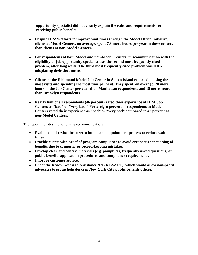**opportunity specialist did not clearly explain the rules and requirements for receiving public benefits.** 

- **Despite HRA's efforts to improve wait times through the Model Office Initiative, clients at Model Centers, on average, spent 7.8 more hours per year in these centers than clients at non-Model Centers.**
- **For respondents at both Model and non-Model Centers, miscommunication with the eligibility or job opportunity specialist was the second most frequently cited problem, after long waits. The third most frequently cited problem was HRA misplacing their documents.**
- **Clients at the Richmond Model Job Center in Staten Island reported making the most visits and spending the most time per visit. They spent, on average, 20 more hours in the Job Center per year than Manhattan respondents and 18 more hours than Brooklyn respondents.**
- **Nearly half of all respondents (46 percent) rated their experience at HRA Job Centers as "bad" or "very bad." Forty-eight percent of respondents at Model Centers rated their experience as "bad" or "very bad" compared to 43 percent at non-Model Centers.**

The report includes the following recommendations:

- **Evaluate and revise the current intake and appointment process to reduce wait times.**
- **Provide clients with proof of program compliance to avoid erroneous sanctioning of benefits due to computer or record-keeping mistakes.**
- **Develop clear and concise materials (e.g. pamphlets, frequently asked questions) on public benefits application procedures and compliance requirements.**
- **Improve customer service.**
- **Enact the Ready Access to Assistance Act (REAACT), which would allow non-profit advocates to set up help desks in New York City public benefits offices**.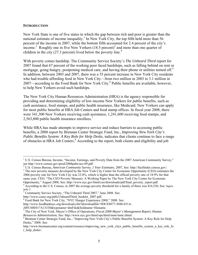#### **INTRODUCTION**

 $\overline{a}$ 

New York State is one of five states in which the gap between rich and poor is greater than the national estimate of income inequality.<sup>1</sup> In New York City, the top fifth held more than 56 percent of the income in 2007, while the bottom fifth accounted for 2.4 percent of the city's income.<sup>2</sup> Roughly one in five New Yorkers  $(18.5 \text{ percent})^3$  and more than one quarter of children in the city (27.3 percent) lived below the poverty line.<sup>4</sup>

With poverty comes hardship. The Community Service Society's *The Unheard Third* report for 2007 found that 67 percent of the working poor faced hardships, such as falling behind on rent or mortgage, going hungry, postponing medical care, and having their phone or utilities turned off.<sup>5</sup> In addition, between 2003 and 2007, there was a 55 percent increase in New York City residents who had trouble affording food in New York City—from two million in 2003 to 3.1 million in 2007—according to the Food Bank for New York City.<sup>6</sup> Public benefits are available, however, to help New Yorkers avoid such hardships.

The New York City Human Resources Administration (HRA) is the agency responsible for providing and determining eligibility of low-income New Yorkers for public benefits, such as cash assistance, food stamps, and public health insurance, like Medicaid. New Yorkers can apply for most public benefits at HRA Job Centers and food stamp offices. In fiscal year 2008, there were 341,300 New Yorkers receiving cash assistance, 1,241,600 receiving food stamps, and 2,563,800 public health insurance enrollees. $<sup>7</sup>$ </sup>

While HRA has made attempts to improve service and reduce barriers to accessing public benefits, a 2008 report by Brennan Center Strategic Fund, Inc., *Improving New York City's Public Benefits System: A Key Role for Help Desks*, indicates that clients continue to face a range of obstacles at HRA Job Centers.<sup>8</sup> According to the report, both clients and eligibility and job

same year. CEO, "The CEO Poverty Measure: A Working Paper by The New York City Center for Economic

<sup>&</sup>lt;sup>1</sup> U.S. Census Bureau, Income, "Income, Earnings, and Poverty Data from the 2007 American Community Survey," see http://www.census.gov/prod/2008pubs/acs-09.pdf.

<sup>&</sup>lt;sup>2</sup> U.S. Census Bureau, *American Community Survey, 1 Year Estimates*, 2007, See: http://factfinder.census.gov/.<br><sup>3</sup> The new noverty measure developed by the New York City Center for Esonomia Opportunity (CEO) estimates

<sup>&</sup>lt;sup>3</sup> The new poverty measure developed by the New York City Center for Economic Opportunity (CEO) estimates the 2006 poverty rate for New York City was 23.0%, which is higher than the official poverty rate of 18.9% for that

Opportunity," August 2008, See: http://www.nyc.gov/html/ceo/downloads/pdf/final\_poverty\_report.pdf. 4 According to the U.S. Census, in 2007 the average poverty threshold for a family of three was \$16,530, See: *Supra* note 2.

<sup>&</sup>lt;sup>5</sup> Community Service Society, "The Unheard Third 2007," June 2008. See:

http://www.cssny.org/pdfs/UnheardThird\_booklet\_2007.pdf.

<sup>&</sup>lt;sup>6</sup> Food Bank for New York City, "NYC Hunger Experience 2008," 2008. See:

http://www.foodbanknyc.org/download.cfm?downloadfile=9DCE8877-3048-651A-

<sup>20</sup>FC60E017A13338&typename=dmFile&fieldname=filename.

<sup>7</sup> The City of New York, Mayor's Office of Operations, *Fiscal 2008 Mayor's Management Report, Human* 

*Resources Administration,* See: http://www.nyc.gov/html/ops/html/mmr/mmr.shtml. 8

Brennan Center Strategic Fund, Inc., "Improving New York City's Public Benefits System: A Key Role for Help Desks," 2008. See:

http://www.brennancenter.org/content/resource/improving\_new\_york\_citys\_public\_benefits\_system\_a\_key\_role\_fo r\_help\_desks/.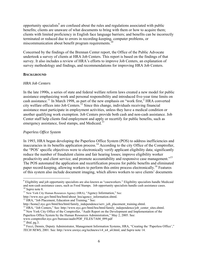opportunity specialists<sup>9</sup> are confused about the rules and regulations associated with public benefits; clients are unaware of what documents to bring with them or how to acquire them; clients with limited proficiency in English face language barriers; and benefits can be incorrectly terminated or reduced due to errors in recording-keeping, computer problems, or miscommunication about benefit program requirements.<sup>10</sup>

Concerned by the findings of the Brennan Center report, the Office of the Public Advocate undertook a survey of clients at HRA Job Centers. This report is based on the findings of that survey. It also includes a review of HRA's efforts to improve Job Centers, an explanation of survey methodology and findings, and recommendations for improving HRA Job Centers.

#### **BACKGROUND**

#### *HRA Job Centers*

In the late 1990s, a series of state and federal welfare reform laws created a new model for public assistance emphasizing work and personal responsibility and introduced five-year time limits on cash assistance.<sup>11</sup> In March 1998, as part of the new emphasis on "work first," HRA converted city welfare offices into Job Centers.12 Since this change, individuals receiving financial assistance must participate in employment activities, unless they have a medical condition or another qualifying work exemption. Job Centers provide both cash and non-cash assistance. Job Center staff help clients find employment and apply or recertify for public benefits, such as emergency assistance, food stamps, and Medicaid.<sup>13</sup>

#### *Paperless Office System*

In 1993, HRA began developing the Paperless Office System (POS) to address inefficiencies and inaccuracies in its benefits application process.<sup>14</sup> According to the city Office of the Comptroller, the "POS' specific objectives were to electronically verify applicant eligibility data; significantly reduce the number of fraudulent claims and fair hearing losses; improve eligibility worker productivity and client service; and promote accountability and responsive case management."<sup>15</sup> The POS automated the application and recertification process for public benefits and eliminated paper record-keeping, allowing workers to perform this entire process electronically.<sup>16</sup> Features of this system also include document imaging, which allows workers to save clients' documents

1

<sup>&</sup>lt;sup>9</sup> Eligibility and job opportunity specialists are also known as "caseworkers." Eligibility specialists handle Medicaid and non-cash assistance cases, such as Food Stamps. Job opportunity specialists handle cash assistance cases.<br><sup>10</sup> *Supra* note 8. <sup>11</sup> New York City Human Resources Agency (HRA), "Agency Information," See:

http://www.nyc.gov/html/hra/html/about\_hra/agency\_information.shtml.<br><sup>12</sup> HRA, "Job Placement, Education and Training." See:<br>http://home2.nyc.gov/html/hra/html/family\_independence/serv\_job\_placement\_training.shtml.

<sup>&</sup>lt;sup>13</sup> HRA, "Job Centers," See: http://www.nyc.gov/html/hra/html/family\_independence/job\_center\_sites.shtml.<br><sup>14</sup> New York City Office of the Comptroller, "Audit Report on the Development and Implementation of the

Paperless Office System by the Human Resources Administration," May 2, 2005. See:

www.comptroller.nyc.gov/bureaus/audit/PDF\_FILES/7A04\_099.pdf<br><sup>15</sup> *Ibid*, pg.3. 16 Fecci, Dennis, Deputy Administrator, Management Information Systems, HRA, "Creating the 'Paperless Office'," *TECH NEWS*, 2001. See: http://www.uwnyc.org/technews/v4\_n4\_a4.html, and *Supra* note 14.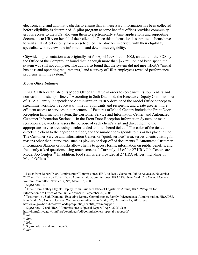electronically, and automatic checks to ensure that all necessary information has been collected before eligibility is determined. A pilot program at some benefits offices provides community groups access to the POS, allowing them to electronically submit applications and supporting documents to HRA on behalf of their clients.<sup>17</sup> Once this information is submitted, clients have to visit an HRA office only for a prescheduled, face-to-face interview with their eligibility specialist, who reviews the information and determines eligibility.

Citywide implementation was originally set for April 1998, but in 2005, an audit of the POS by the Office of the Comptroller found that, although more than \$47 million had been spent, the system was still not complete. The audit also found that the system did not meet HRA's "initial business and operating requirements," and a survey of HRA employees revealed performance problems with the system.<sup>18</sup>

#### *Model Office Initiative*

In 2003, HRA established its Model Office Initiative in order to reorganize its Job Centers and non-cash food stamp offices.19 According to Seth Diamond, the Executive Deputy Commissioner of HRA's Family Independence Administration, "HRA developed the Model Office concept to streamline workflow, reduce wait time for applicants and recipients, and create greater, more efficient access to services in our centers."20 Features of Model Centers include the Front Door Reception Information System, the Customer Service and Information Center, and Automated Customer Information Stations.21 In the Front Door Reception Information System, or main reception area, workers assess the purpose of each client's visit and direct them to the appropriate service area using a color-coded and numbered ticket.<sup>22</sup> The color of the ticket directs the client to the appropriate floor, and the number corresponds to his or her place in line. The Customer Service and Information Center, or "quick service" area, serves clients visiting for reasons other than interviews, such as pick-up or drop-off of documents.<sup>23</sup> Automated Customer Information Stations or kiosks allow clients to access forms, information on public benefits, and frequently asked questions using touch screens.24 Currently, 13 of the 27 HRA Job Centers are Model Job Centers.<sup>25</sup> In addition, food stamps are provided at 27 HRA offices, including 11 Model Offices.<sup>26</sup>

 $\overline{a}$ 

<sup>&</sup>lt;sup>17</sup> Letter from Robert Doar, Administrator/Commissioner, HRA, to Betsy Gotbaum, Public Advocate, November 2007 and Testimony by Robert Doar, Administrator/Commissioner, HRA/DSS, New York City Council General Welfare Committee, New York, NY, March 15, 2007.

<sup>18</sup> *Supra* note 14.

<sup>19</sup> Email from Kathryn Dyjak, Deputy Commissioner Office of Legislative Affairs*,* HRA, "Request for

Information," to Office of the Public Advocate, September 22, 2008.<br><sup>20</sup> Testimony by Seth Diamond, Executive Deputy Commissioner, Family Independence Administration, HRA/DSS, New York City Council General Welfare Committee, New York, NY, December 18, 2006. See: http://nyc.gov/html/hra/downloads/pdf/public\_benefits\_testimony.pdf.

<sup>&</sup>lt;sup>21</sup> *Supra* note 19 and HRA, "Commissioner's Special Report," April 2005. See:

http://home2.nyc.gov/html/hra/downloads/pdf/commissioners\_special\_report.pdf<br>
<sup>22</sup> *Ibid.*<br>
<sup>24</sup> *Ibid.*<br>
<sup>25</sup> *Supra* note 19 and *Supra* note 7.<br>
<sup>26</sup> *Ibid.*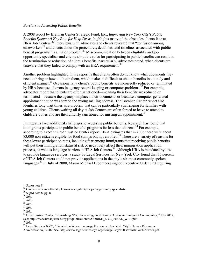#### *Barriers to Accessing Public Benefits*

A 2008 report by Brennan Center Strategic Fund, Inc., *Improving New York City's Public Benefits System: A Key Role for Help Desks*, highlights many of the obstacles clients face at HRA Job Centers.<sup>27</sup> Interviews with advocates and clients revealed that "confusion among" caseworkers<sup>28</sup> and clients about the procedures, deadlines, and timelines associated with public benefit programs" is a major problem.<sup>29</sup> Miscommunication between eligibility and job opportunity specialists and clients about the rules for participating in public benefits can result in the termination or reduction of client's benefits, particularly, advocates noted, when clients are unaware that they failed to comply with an HRA requirement.<sup>30</sup>

Another problem highlighted in the report is that clients often do not know what documents they need to bring or how to obtain them, which makes it difficult to obtain benefits in a timely and efficient manner.<sup>31</sup> Occasionally, a client's public benefits are incorrectly reduced or terminated by HRA because of errors in agency record-keeping or computer problems.<sup>32</sup> For example, advocates report that clients are often sanctioned―meaning their benefits are reduced or terminated—because the agency misplaced their documents or because a computer generated appointment notice was sent to the wrong mailing address. The Brennan Center report also identifies long wait times as a problem that can be particularly challenging for families with young children. Clients waiting all day at Job Centers are often forced to leave to attend to childcare duties and are then unfairly sanctioned for missing an appointment.<sup>33</sup>

Immigrants face additional challenges to accessing public benefits. Research has found that immigrants participate in public benefits programs far less than citizens.<sup>34</sup> For example, according to a recent Urban Justice Center report, HRA estimates that in 2006 there were about 83,000 non-citizens eligible for food stamps but not enrolled.<sup>35</sup> There are a variety of reasons for these lower participation rates, including fear among immigrants that receiving public benefits will put their immigration status at risk or negatively affect their immigration application process, as well as language barriers at HRA Job Centers.<sup>36</sup> Although HRA is mandated by law to provide language services, a study by Legal Services for New York City found that 66 percent of HRA Job Centers could not provide applications in the city's six most commonly spoken languages.<sup>37</sup> In July of 2008, Mayor Michael Bloomberg signed Executive Order 120 requiring

 $27$  Supra note 8.

<sup>&</sup>lt;sup>28</sup> Caseworkers are officially known as eligibility or job opportunity specialists.<br><sup>29</sup> *Supra* note 8, pg. 8.

<sup>&</sup>lt;sup>30</sup> *Ibid.*<br><sup>31</sup> *Ibid.*<br><sup>32</sup> *Ibid.* <sup>33</sup> *Ibid.* 34<br><sup>34</sup> *Ibid.* 35<sup></sup> Urban Justice Center, "Nourishing NYC: Increasing Food Stamps Access in Immigrant Communities," July 2008. See: http://www.urbanjustice.org/pdf/publications/NOURISH\_NYC\_FINAL\_WEB.pdf.

<sup>&</sup>lt;sup>37</sup> Legal Services NYC, "Translation Woes: Language Barriers at New York City's Human Resources Administration," 2007. See: http://www.legalservicesnyc.org/storage/lsny/PDFs/translation%20woes.pdf.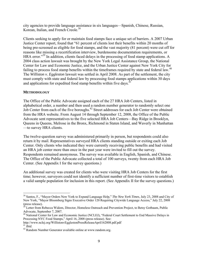city agencies to provide language assistance in six languages—Spanish, Chinese, Russian, Korean, Italian, and French Creole.<sup>38</sup>

Clients seeking to apply for or maintain food stamps face a unique set of barriers. A 2007 Urban Justice Center report, found that "61 percent of clients lost their benefits within 20 months of being pre-screened as eligible for food stamps, and the vast majority (81 percent) were cut off for reasons like missing a recertification interview, burdensome documentation requirements, or HRA error."<sup>39</sup> In addition, clients faced delays in the processing of food stamp applications. A 2004 class action lawsuit was brought by the New York Legal Assistance Group, the National Center for Law and Economic Justice, and the Urban Justice Center against New York City for failing to process food stamp benefits within the timeframes required by state and federal law.<sup>40</sup> The *Williston v. Eggleston* lawsuit was settled in April 2008. As part of the settlement, the city must comply with state and federal law by processing food stamps applications within 30 days and applications for expedited food stamp benefits within five days.<sup>4</sup>

#### **METHODOLOGY**

The Office of the Public Advocate assigned each of the 27 HRA Job Centers, listed in alphabetical order, a number and then used a random number generator to randomly select one Job Center from each of the five boroughs.<sup>42</sup> Street addresses for each Job Center were obtained from the HRA website. From August 14 through September 12, 2008, the Office of the Public Advocate sent representatives to the five selected HRA Job Centers—Bay Ridge in Brooklyn, Queens in Queens, Melrose in the Bronx, Richmond in Staten Island, and Waverly in Manhattan —to survey HRA clients.

The twelve-question survey was administered primarily in person, but respondents could also return it by mail. Representatives surveyed HRA clients standing outside or exiting each Job Center. Only clients who indicated they were currently receiving public benefits and had visited an HRA job center more than once in the past year were invited to fill out the survey. Respondents remained anonymous. The survey was available in English, Spanish, and Chinese. The Office of the Public Advocate collected a total of 100 surveys, twenty from each HRA Job Center. (See Appendix I for the survey questions.)

An additional survey was created for clients who were visiting HRA Job Centers for the first time; however, surveyors could not identify a sufficient number of first-time visitors to establish a valid sample population for inclusion in this report. (See Appendix II for the survey questions.)

 $\overline{a}$ 

<sup>38</sup> Santos, F., "Mayor Orders New York to Expand Language Help," *The New York Times*, July 23, 2008 and City of New York, "Mayor Bloomberg Signs Executive Order 120 Requiring Citywide Language Access," July 22, 2008 (press release).

Letter from Rebecca Widom, Director, Homeless Outreach and Prevention Project, to Betsy Gotbaum, Public Advocate, September 7, 2007.

<sup>&</sup>lt;sup>40</sup> National Center for Law and Economic Justice (NCLEJ), "Federal Court Settlement to End Massive Delays in Processing NYC Food Stamps," April 16, 2008 (press release). See:<br>http://www.nclej.org/WillistonvEgglestonPressReleaseApril162008.pdf.pdf

<sup>&</sup>lt;sup>41</sup> *Ibid.*<br><sup>42</sup> Random Number Generator available online at www.random.org.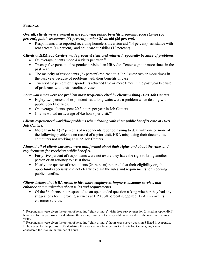#### **FINDINGS**

#### *Overall, clients were enrolled in the following public benefits programs: food stamps (86 percent), public assistance (61 percent), and/or Medicaid (56 percent).*

• Respondents also reported receiving homeless diversion aid (14 percent), assistance with rent arrears (14 percent), and childcare subsidies (12 percent).

#### *Clients at HRA Job Centers made frequent visits and returned repeatedly because of problems***.**

- On average, clients made 4.4 visits per year. $43$
- Twenty-five percent of respondents visited an HRA Job Center eight or more times in the past year.
- The majority of respondents (73 percent) returned to a Job Center two or more times in the past year because of problems with their benefits or case.
- Twenty-five percent of respondents returned five or more times in the past year because of problems with their benefits or case.

#### *Long wait times were the problem most frequently cited by clients visiting HRA Job Centers.*

- Eighty-two percent of respondents said long waits were a problem when dealing with public benefit offices.
- On average, clients spent 20.3 hours per year in Job Centers.
- Clients waited an average of 4.6 hours per visit.<sup>44</sup>

#### *Clients experienced workflow problems when dealing with their public benefits case at HRA Job Centers.*

• More than half (52 percent) of respondents reported having to deal with one or more of the following problems: no record of a prior visit, HRA misplacing their documents, computers not working at HRA Job Centers.

#### *Almost half of clients surveyed were uninformed about their rights and about the rules and requirements for receiving public benefits.*

- Forty-five percent of respondents were not aware they have the right to bring another person or an attorney to assist them.
- Nearly one quarter of respondents (24 percent) reported that their eligibility or job opportunity specialist did not clearly explain the rules and requirements for receiving public benefits.

#### *Clients believe that HRA needs to hire more employees, improve customer service, and enhance communication about rules and requirements.*

• Of the 56 clients that responded to an open-ended question asking whether they had any suggestions for improving services at HRA, 38 percent suggested HRA improve its customer service.

<sup>1</sup>  $^{43}$  Respondents were given the option of selecting "eight or more" visits (see survey question 2 listed in Appendix I); however, for the purposes of calculating the average number of visits, eight was considered the maximum number of visits.

<sup>&</sup>lt;sup>44</sup> Respondents were given the option of selecting "eight or more" hours (see survey question 3 listed in Appendix I); however, for the purposes of calculating the average wait time per visit in HRA Job Centers, eight was considered the maximum number of hours.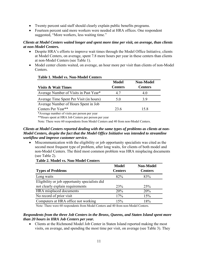- Twenty percent said staff should clearly explain public benefits programs.
- Fourteen percent said more workers were needed at HRA offices. One respondent suggested, "More workers, less waiting time."

#### *Clients at Model Centers waited longer and spent more time per visit, on average, than clients at non-Model Centers.*

- Despite HRA's efforts to improve wait times through the Model Office Initiative, clients at Model Centers, on average, spent 7.8 more hours per year in these centers than clients at non-Model Centers (see Table 1).
- Model center clients waited, on average, an hour more per visit than clients of non-Model Centers.

|                                         | Model          | <b>Non-Model</b> |  |
|-----------------------------------------|----------------|------------------|--|
| <b>Visits &amp; Wait Times</b>          | <b>Centers</b> | <b>Centers</b>   |  |
| Average Number of Visits in Past Year*  | 47             |                  |  |
| Average Time Spent Per Visit (in hours) | 5.0            | 39               |  |
| Average Number of Hours Spent in Job    |                |                  |  |
| Centers Per Year**                      | 23.6           | 15 8             |  |

\*Average number of visits per person per year

**Table 1. Model vs. Non-Model Centers**

\*\*Hours spent at HRA Job Centers per person per year

Note: There were 60 respondents from Model Centers and 40 from non-Model Centers.

#### *Clients at Model Centers reported dealing with the same types of problems as clients at non-Model Centers, despite the fact that the Model Office Initiative was intended to streamline workflow and improve customer service.*

• Miscommunication with the eligibility or job opportunity specialists was cited as the second most frequent type of problem, after long waits, for clients of both model and non-Model Centers. The third most common problem was HRA misplacing documents (see Table 2).

|                                                | <b>Model</b>   | <b>Non-Model</b> |
|------------------------------------------------|----------------|------------------|
| <b>Types of Problems</b>                       | <b>Centers</b> | <b>Centers</b>   |
| Long waits                                     | 82%            | 83%              |
| Eligibility or job opportunity specialists did |                |                  |
| not clearly explain requirements               | 23%            | 25%              |
| <b>HRA</b> misplaced documents                 | 20%            | 20%              |
| No record of prior visit                       | 17%            | 15%              |
| Computers at HRA office not working            | 15%            | 18%              |

**Table 2. Model vs. Non-Model Centers**

Note: There were 60 respondents from Model Centers and 40 from non-Model Centers.

#### *Respondents from the three Job Centers in the Bronx, Queens, and Staten Island spent more than 20 hours in HRA Job Centers per year.*

• Clients at the Richmond Model Job Center in Staten Island reported making the most visits, on average, and spending the most time per visit, on average (see Table 3). They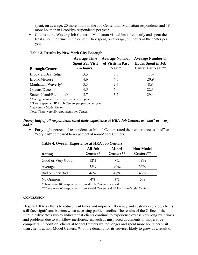spent, on average, 20 more hours in the Job Center than Manhattan respondents and 18 more hours than Brooklyn respondents per year.

• Clients at the Waverly Job Center in Manhattan visited least frequently and spent the least amount of time in the center. They spent, on average, 8.8 hours in the center per year.

| <b>Borough/Center</b>               | <b>Average Time</b><br><b>Spent Per Visit</b><br>(in hours) | <b>Average Number</b><br>of Visits in Past<br>Year* | <b>Average Number of</b><br><b>Hours Spent in Job</b><br><b>Center Per Year**</b> |
|-------------------------------------|-------------------------------------------------------------|-----------------------------------------------------|-----------------------------------------------------------------------------------|
| Brooklyn/Bay Ridge                  | 3.3                                                         | 3.5                                                 | 11.4                                                                              |
| Bronx/Melrose                       | 4.6                                                         | 4.6                                                 | 20.9                                                                              |
| Manhattan/Waverly^                  | 3.3                                                         | 2.7                                                 | 8.8                                                                               |
| Queens/Queens^                      | 4.5                                                         | 5.0                                                 | 22.3                                                                              |
| Staten Island/Richmond <sup>^</sup> | 57                                                          | 5.2                                                 | 29.4                                                                              |

#### **Table 3. Results by New York City Borough**

\*Average number of visits per person per year

\*\*Hours spent at HRA Job Centers per person per year

^Indicates a Model Center

Note: There were 20 respondents per Center.

#### *Nearly half of all respondents rated their experience at HRA Job Centers as "bad" or "very bad."*

• Forty-eight percent of respondents at Model Centers rated their experience as "bad" or "very bad" compared to 43 percent at non-Model Centers.

| Table 4. Overall Experience at HRA Job Centers |                     |                           |                               |  |
|------------------------------------------------|---------------------|---------------------------|-------------------------------|--|
| Rating                                         | All Job<br>Centers* | <b>Model</b><br>Centers** | <b>Non-Model</b><br>Centers** |  |
| Good or Very Good                              | $12\%$              | 8%                        | 18%                           |  |
| Average                                        | 38%                 | 40%                       | 35%                           |  |
| Bad or Very Bad                                | 46%                 | 48%                       | 43%                           |  |
| No Opinion                                     | $4\%$               | 3%                        | 5%                            |  |

#### **Table 4. Overall Experience at HRA Job Centers**

\*There were 100 respondents from all Job Centers surveyed.

\*\*There were 60 respondents from Model Centers and 40 from non-Model Centers.

#### **CONCLUSION**

Despite HRA's efforts to reduce wait times and improve efficiency and customer service, clients still face significant barriers when accessing public benefits. The results of the Office of the Public Advocate's survey indicate that clients continue to experience excessively long wait times and problems due to workflow inefficiencies, such as misplaced documents or inoperative computers. In addition, clients at Model Centers waited longer and spent more hours per visit than clients at non-Model Centers. With the demand for its services likely to grow as a result of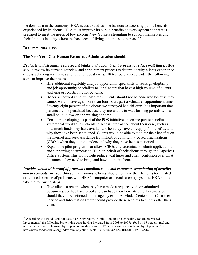the downturn in the economy, HRA needs to address the barriers to accessing public benefits experienced by its clients. HRA must improve its public benefits delivery system so that it is prepared to meet the needs of low-income New Yorkers struggling to support themselves and their families in a city where the basic cost of living continues to increase.<sup>45</sup>

#### **RECOMMENDATIONS**

 $\overline{a}$ 

#### **The New York City Human Resources Administration should:**

*Evaluate and streamline its current intake and appointment process to reduce wait times.* HRA should review its current interview and appointment process to determine why clients experience excessively long wait times and require repeat visits. HRA should also consider the following steps to improve the process:

- Hire additional eligibility and job opportunity specialists or reassign eligibility and job opportunity specialists to Job Centers that have a high volume of clients applying or recertifying for benefits.
- Honor scheduled appointment times. Clients should not be penalized because they cannot wait, on average, more than four hours past a scheduled appointment time. Seventy-eight percent of the clients we surveyed had children. It is important that parents are not penalized because they are unable to wait for long periods with a small child in tow or one waiting at home.
- Consider developing, as part of the POS initiative, an online public benefits system that would allow clients to access information about their case, such as how much funds they have available, when they have to reapply for benefits, and why they have been sanctioned. Clients would be able to monitor their benefits on the internet and seek assistance from HRA or community-based organizations (CBOs) when they do not understand why they have been sanctioned.
- Expand the pilot program that allows CBOs to electronically submit applications and supporting documents to HRA on behalf of their clients through the Paperless Office System. This would help reduce wait times and client confusion over what documents they need to bring and how to obtain them.

*Provide clients with proof of program compliance to avoid erroneous sanctioning of benefits due to computer or record-keeping mistakes.* Clients should not have their benefits terminated or reduced because of problems with HRA's computer or record-keeping systems. HRA should take the following steps:

> • Give clients a receipt when they have made a required visit or submitted documents, so they have proof and can have their benefits quickly reinstated should they be sanctioned due to agency error. At Model Centers, the Customer Service and Information Center could provide these receipts to clients after their visits.

<sup>&</sup>lt;sup>45</sup> According to a Food Bank for New York City report, "Child Hunger: The Unhealthy Return on Missed Investments," the following basic living costs having increased from 2003 to 2007: "food by 15 percent, fuel and utility by 37 percent, housing by 18 percent, medical care by 17 percent and transportation by 14 percent." See: http://www.foodbanknyc.org/index.cfm?objectid=D42B3E4D-3048-651A-20BA8E06F5EF6544.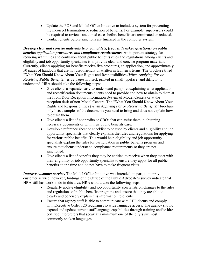- Update the POS and Model Office Initiative to include a system for preventing the incorrect termination or reduction of benefits. For example, supervisors could be required to review sanctioned cases before benefits are terminated or reduced.
- Contact clients before sanctions are finalized in the computer system.

*Develop clear and concise materials (e.g. pamphlets, frequently asked questions) on public benefits application procedures and compliance requirements.* An important strategy for reducing wait times and confusion about public benefits rules and regulations among clients and eligibility and job opportunity specialists is to provide clear and concise program materials. Currently, clients applying for benefits receive five brochures, an application, and approximately 50 pages of handouts that are not user-friendly or written in laymen's terms. The brochure titled "What You Should Know About Your Rights and Responsibilities *(When Applying For or Receiving Public Benefits)*" is 32 pages in itself, printed in small typeface, and difficult to understand. HRA should take the following steps:

- Give clients a separate, easy-to-understand pamphlet explaining what application and recertification documents clients need to provide and how to obtain to them at the Front Door Reception Information System of Model Centers or at the reception desk of non-Model Centers. The "What You Should Know About Your Rights and Responsibilities *(When Applying For or Receiving Benefits*)" brochure only lists examples of the documents you need to bring and does not explain how to obtain them.
- Give clients a list of nonprofits or CBOs that can assist them in obtaining necessary documents or with their public benefits case.
- Develop a reference sheet or checklist to be used by clients and eligibility and job opportunity specialists that clearly explains the rules and regulations for applying for various public benefits. This would help eligibility and job opportunity specialists explain the rules for participation in public benefits program and ensure that clients understand compliance requirements so they are not sanctioned.
- Give clients a list of benefits they may be entitled to receive when they meet with their eligibility or job opportunity specialist to ensure they apply for all public benefits at one time and do not have to make frequent visits.

*Improve customer service.* The Model Office Initiative was intended, in part, to improve customer service; however, findings of the Office of the Public Advocate's survey indicate that HRA still has work to do in this area. HRA should take the following steps:

- Regularly update eligibility and job opportunity specialists on changes to the rules and regulations of public benefits programs and ensure that they are able to clearly and concisely explain this information to clients.
- Ensure that agency staff is able to communicate with LEP clients and comply with Executive Order 120 requiring citywide language access. The agency should expand and update current staff language capabilities through training and/or hire certified interpreters that speak at a minimum one of the city's six most commonly spoken languages.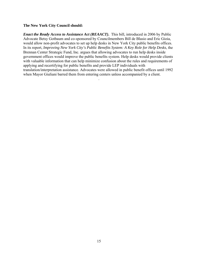#### **The New York City Council should:**

*Enact the Ready Access to Assistance Act (REAACT)***.** This bill, introduced in 2006 by Public Advocate Betsy Gotbaum and co-sponsored by Councilmembers Bill de Blasio and Eric Gioia, would allow non-profit advocates to set up help desks in New York City public benefits offices. In its report, *Improving New York City's Public Benefits System: A Key Role for Help Desks*, the Brennan Center Strategic Fund, Inc. argues that allowing advocates to run help desks inside government offices would improve the public benefits system. Help desks would provide clients with valuable information that can help minimize confusion about the rules and requirements of applying and recertifying for public benefits and provide LEP individuals with translation/interpretation assistance. Advocates were allowed in public benefit offices until 1992 when Mayor Giuliani barred them from entering centers unless accompanied by a client.

.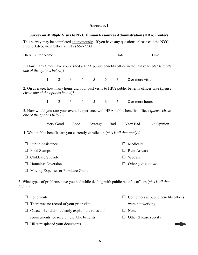#### **APPENDIX I**

#### **Survey on** *Multiple* **Visits to NYC Human Resources Administration (HRA) Centers**

This survey may be completed anonymously. If you have any questions, please call the NYC Public Advocate's Office at (212) 669-7200.

HRA Center Name Date \_\_\_\_\_\_\_\_\_\_ Time

1. How many times have you visited a HRA public benefits office in the last year (*please circle one of the options below*)?

1 2 3 4 5 6 7 8 or more visits

2. On average, how many hours did your past visits to HRA public benefits offices take (*please circle one of the options below*)?

1 2 3 4 5 6 7 8 or more hours

3. How would you rate your overall experience with HRA public benefits offices (*please circle one of the options below*)?

Very Good Good Average Bad Very Bad No Opinion

4. What public benefits are you currently enrolled in (*check all that apply*)?

| $\Box$ Public Assistance  | $\Box$ Medicaid               |
|---------------------------|-------------------------------|
| $\Box$ Food Stamps        | $\Box$ Rent Arrears           |
| $\Box$ Childcare Subsidy  | $\Box$ WeCare                 |
| $\Box$ Homeless Diversion | $\Box$ Other (please explain) |
|                           |                               |

 $\Box$  Moving Expenses or Furniture Grant

5. What types of problems have you had while dealing with public benefits offices (*check all that apply*)?

 $\square$  Long waits  $\Box$  There was no record of your prior visit  $\Box$  Caseworker did not clearly explain the rules and requirements for receiving public benefits  $\Box$  Computers at public benefits offices were not working  $\square$  None

 $\Box$  HRA misplaced your documents

 $\Box$  Other (Please specify)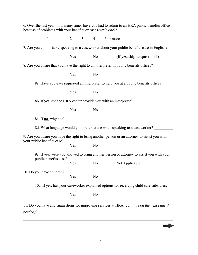6. Over the last year, how many times have you had to return to an HRA public benefits office because of problems with your benefits or case (*circle one)*? 0 1 2 3 4 5 or more 7. Are you comfortable speaking to a caseworker about your public benefits case in English? Yes No (**If yes, skip to question 9**) 8. Are you aware that you have the right to an interpreter in public benefits offices? Yes No 8a. Have you ever requested an interpreter to help you at a public benefits office? Yes No 8b. If **yes**, did the HRA center provide you with an interpreter? Yes No 8c. If <u>no</u>, why not? 8d. What language would you prefer to use when speaking to a caseworker? 9. Are you aware you have the right to bring another person or an attorney to assist you with your public benefits case? Yes No 9a. If yes, were you allowed to bring another person or attorney to assist you with your public benefits case? Yes No Not Applicable 10. Do you have children? Yes No 10a. If yes, has your caseworker explained options for receiving child care subsidies? Yes No 11. Do you have any suggestions for improving services at HRA (*continue on the next page if needed*)?  $\mathcal{L}_\mathcal{L} = \{ \mathcal{L}_\mathcal{L} = \{ \mathcal{L}_\mathcal{L} = \{ \mathcal{L}_\mathcal{L} = \{ \mathcal{L}_\mathcal{L} = \{ \mathcal{L}_\mathcal{L} = \{ \mathcal{L}_\mathcal{L} = \{ \mathcal{L}_\mathcal{L} = \{ \mathcal{L}_\mathcal{L} = \{ \mathcal{L}_\mathcal{L} = \{ \mathcal{L}_\mathcal{L} = \{ \mathcal{L}_\mathcal{L} = \{ \mathcal{L}_\mathcal{L} = \{ \mathcal{L}_\mathcal{L} = \{ \mathcal{L}_\mathcal{$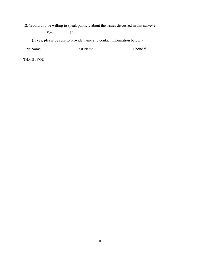12. Would you be willing to speak publicly about the issues discussed in this survey?

Yes No

(If yes, please be sure to provide name and contact information below.)

First Name  $\frac{1}{2}$  Last Name  $\frac{1}{2}$  Last Name  $\frac{1}{2}$  Phone #  $\frac{1}{2}$ 

THANK YOU!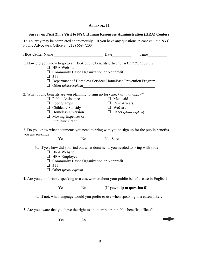#### **APPENDIX II**

#### **Survey on** *First Time* **Visit to NYC Human Resources Administration (HRA) Centers**

This survey may be completed anonymously. If you have any questions, please call the NYC Public Advocate's Office at (212) 669-7200.

|                                                                                                                                                                                                                                                                            |                                                                                                                                                                |                | HRA Center Name                                                                                                                            | Time |
|----------------------------------------------------------------------------------------------------------------------------------------------------------------------------------------------------------------------------------------------------------------------------|----------------------------------------------------------------------------------------------------------------------------------------------------------------|----------------|--------------------------------------------------------------------------------------------------------------------------------------------|------|
| 1. How did you know to go to an HRA public benefits office (check all that apply)?<br>$\Box$ HRA Website<br>Community Based Organization or Nonprofit<br>$\Box$ 311<br>$\Box$ Department of Homeless Services HomeBase Prevention Program<br>$\Box$ Other (please explain) |                                                                                                                                                                |                |                                                                                                                                            |      |
|                                                                                                                                                                                                                                                                            | $\Box$ Public Assistance<br>$\Box$ Food Stamps<br>$\Box$ Childcare Subsidy<br>$\Box$ Homeless Diversion<br>$\Box$ Moving Expenses or<br><b>Furniture Grant</b> |                | 2. What public benefits are you planning to sign up for (check all that apply)?<br>$\Box$ Medicaid<br>$\Box$ Rent Arrears<br>$\Box$ WeCare |      |
| 3. Do you know what documents you need to bring with you to sign up for the public benefits<br>you are seeking?<br>N <sub>0</sub><br>Not Sure<br>Yes                                                                                                                       |                                                                                                                                                                |                |                                                                                                                                            |      |
| 3a. If yes, how did you find out what documents you needed to bring with you?<br>$\Box$ HRA Website<br>$\Box$ HRA Employee<br>$\Box$ Community Based Organization or Nonprofit<br>$\Box$ 311<br>$\Box$ Other (please explain)<br>$\Box$                                    |                                                                                                                                                                |                |                                                                                                                                            |      |
| 4. Are you comfortable speaking to a caseworker about your public benefits case in English?                                                                                                                                                                                |                                                                                                                                                                |                |                                                                                                                                            |      |
|                                                                                                                                                                                                                                                                            | Yes                                                                                                                                                            | N <sub>0</sub> | (If yes, skip to question 6)                                                                                                               |      |

4a. If not, what language would you prefer to use when speaking to a caseworker?

5. Are you aware that you have the right to an interpreter in public benefits offices?

Yes No

 $\frac{1}{2}$